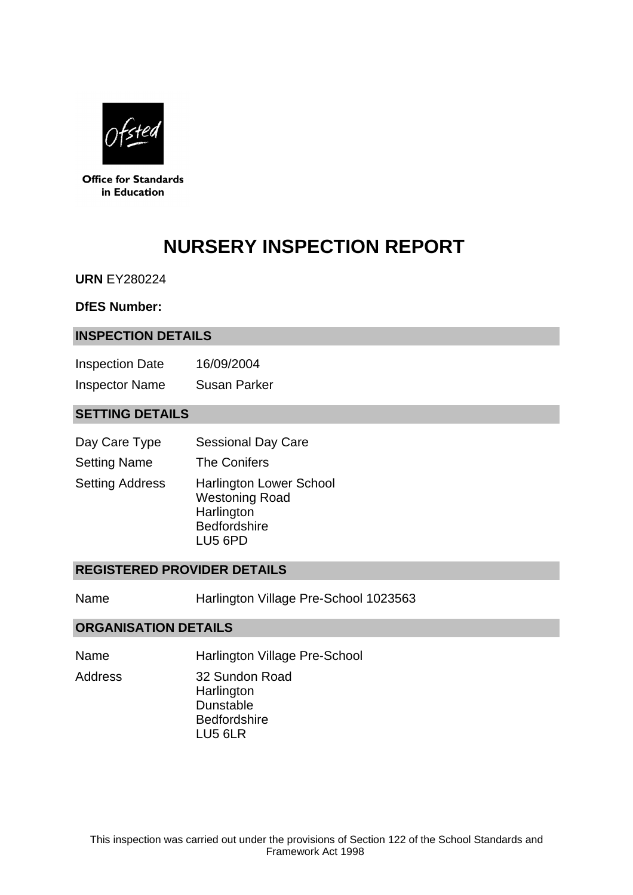

**Office for Standards** in Education

# **NURSERY INSPECTION REPORT**

**URN** EY280224

#### **DfES Number:**

#### **INSPECTION DETAILS**

| <b>Inspection Date</b> | 16/09/2004          |
|------------------------|---------------------|
| <b>Inspector Name</b>  | <b>Susan Parker</b> |

## **SETTING DETAILS**

| Day Care Type          | <b>Sessional Day Care</b>                                                                               |
|------------------------|---------------------------------------------------------------------------------------------------------|
| <b>Setting Name</b>    | <b>The Conifers</b>                                                                                     |
| <b>Setting Address</b> | <b>Harlington Lower School</b><br><b>Westoning Road</b><br>Harlington<br><b>Bedfordshire</b><br>LU5 6PD |

#### **REGISTERED PROVIDER DETAILS**

Name **Harlington Village Pre-School 1023563** 

#### **ORGANISATION DETAILS**

- Name Harlington Village Pre-School
- Address 32 Sundon Road **Harlington** Dunstable **Bedfordshire** LU5 6LR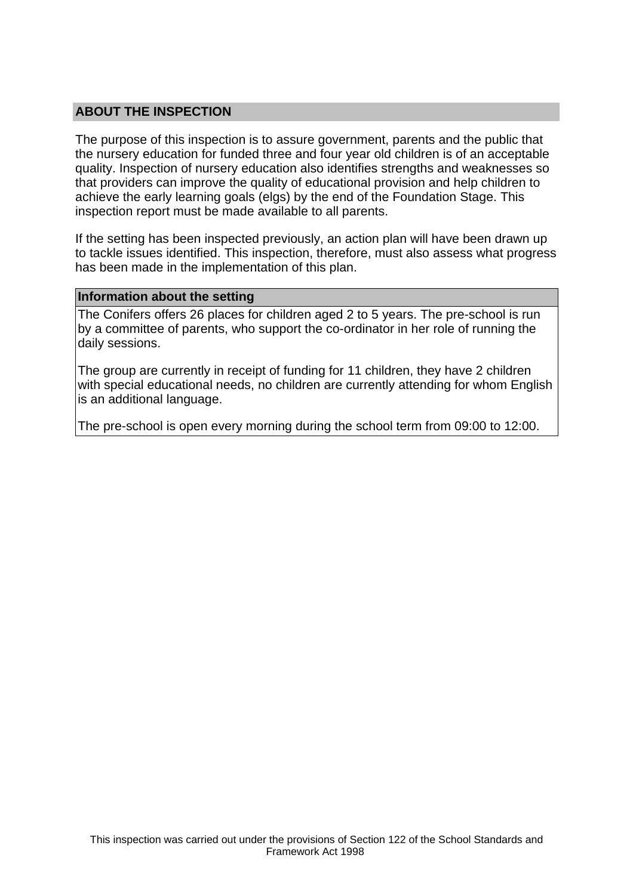## **ABOUT THE INSPECTION**

The purpose of this inspection is to assure government, parents and the public that the nursery education for funded three and four year old children is of an acceptable quality. Inspection of nursery education also identifies strengths and weaknesses so that providers can improve the quality of educational provision and help children to achieve the early learning goals (elgs) by the end of the Foundation Stage. This inspection report must be made available to all parents.

If the setting has been inspected previously, an action plan will have been drawn up to tackle issues identified. This inspection, therefore, must also assess what progress has been made in the implementation of this plan.

#### **Information about the setting**

The Conifers offers 26 places for children aged 2 to 5 years. The pre-school is run by a committee of parents, who support the co-ordinator in her role of running the daily sessions.

The group are currently in receipt of funding for 11 children, they have 2 children with special educational needs, no children are currently attending for whom English is an additional language.

The pre-school is open every morning during the school term from 09:00 to 12:00.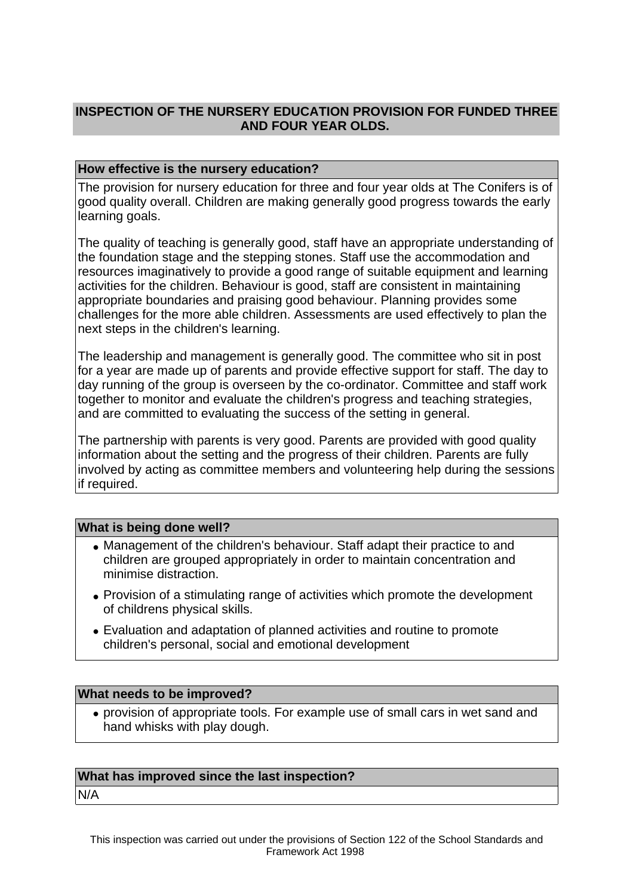## **INSPECTION OF THE NURSERY EDUCATION PROVISION FOR FUNDED THREE AND FOUR YEAR OLDS.**

#### **How effective is the nursery education?**

The provision for nursery education for three and four year olds at The Conifers is of good quality overall. Children are making generally good progress towards the early learning goals.

The quality of teaching is generally good, staff have an appropriate understanding of the foundation stage and the stepping stones. Staff use the accommodation and resources imaginatively to provide a good range of suitable equipment and learning activities for the children. Behaviour is good, staff are consistent in maintaining appropriate boundaries and praising good behaviour. Planning provides some challenges for the more able children. Assessments are used effectively to plan the next steps in the children's learning.

The leadership and management is generally good. The committee who sit in post for a year are made up of parents and provide effective support for staff. The day to day running of the group is overseen by the co-ordinator. Committee and staff work together to monitor and evaluate the children's progress and teaching strategies, and are committed to evaluating the success of the setting in general.

The partnership with parents is very good. Parents are provided with good quality information about the setting and the progress of their children. Parents are fully involved by acting as committee members and volunteering help during the sessions if required.

#### **What is being done well?**

- Management of the children's behaviour. Staff adapt their practice to and children are grouped appropriately in order to maintain concentration and minimise distraction.
- Provision of a stimulating range of activities which promote the development of childrens physical skills.
- Evaluation and adaptation of planned activities and routine to promote children's personal, social and emotional development

#### **What needs to be improved?**

• provision of appropriate tools. For example use of small cars in wet sand and hand whisks with play dough.

#### **What has improved since the last inspection?**

N/A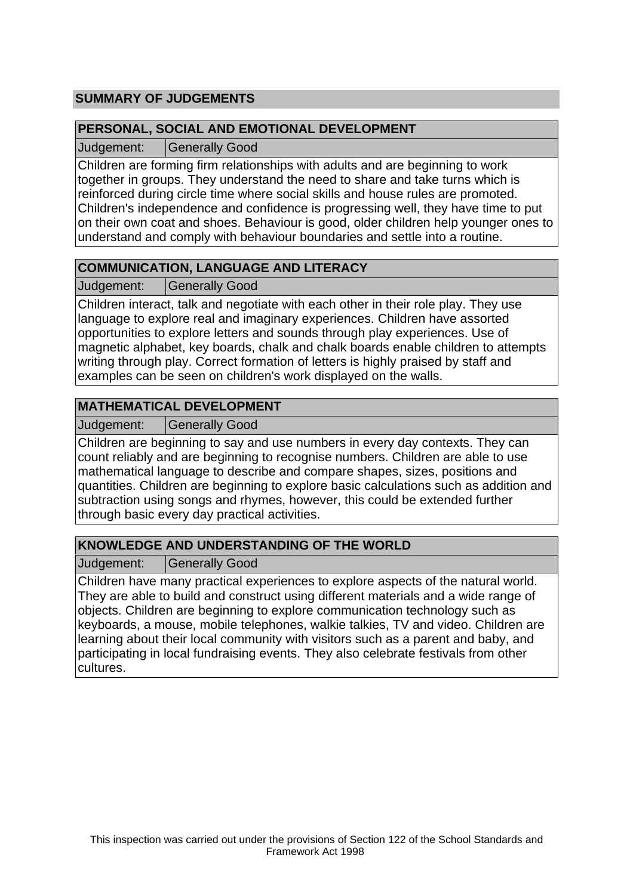## **SUMMARY OF JUDGEMENTS**

## **PERSONAL, SOCIAL AND EMOTIONAL DEVELOPMENT**

Judgement: Generally Good

Children are forming firm relationships with adults and are beginning to work together in groups. They understand the need to share and take turns which is reinforced during circle time where social skills and house rules are promoted. Children's independence and confidence is progressing well, they have time to put on their own coat and shoes. Behaviour is good, older children help younger ones to understand and comply with behaviour boundaries and settle into a routine.

## **COMMUNICATION, LANGUAGE AND LITERACY**

Judgement: Generally Good

Children interact, talk and negotiate with each other in their role play. They use language to explore real and imaginary experiences. Children have assorted opportunities to explore letters and sounds through play experiences. Use of magnetic alphabet, key boards, chalk and chalk boards enable children to attempts writing through play. Correct formation of letters is highly praised by staff and examples can be seen on children's work displayed on the walls.

## **MATHEMATICAL DEVELOPMENT**

Judgement: | Generally Good

Children are beginning to say and use numbers in every day contexts. They can count reliably and are beginning to recognise numbers. Children are able to use mathematical language to describe and compare shapes, sizes, positions and quantities. Children are beginning to explore basic calculations such as addition and subtraction using songs and rhymes, however, this could be extended further through basic every day practical activities.

## **KNOWLEDGE AND UNDERSTANDING OF THE WORLD**

Judgement: Generally Good

Children have many practical experiences to explore aspects of the natural world. They are able to build and construct using different materials and a wide range of objects. Children are beginning to explore communication technology such as keyboards, a mouse, mobile telephones, walkie talkies, TV and video. Children are learning about their local community with visitors such as a parent and baby, and participating in local fundraising events. They also celebrate festivals from other cultures.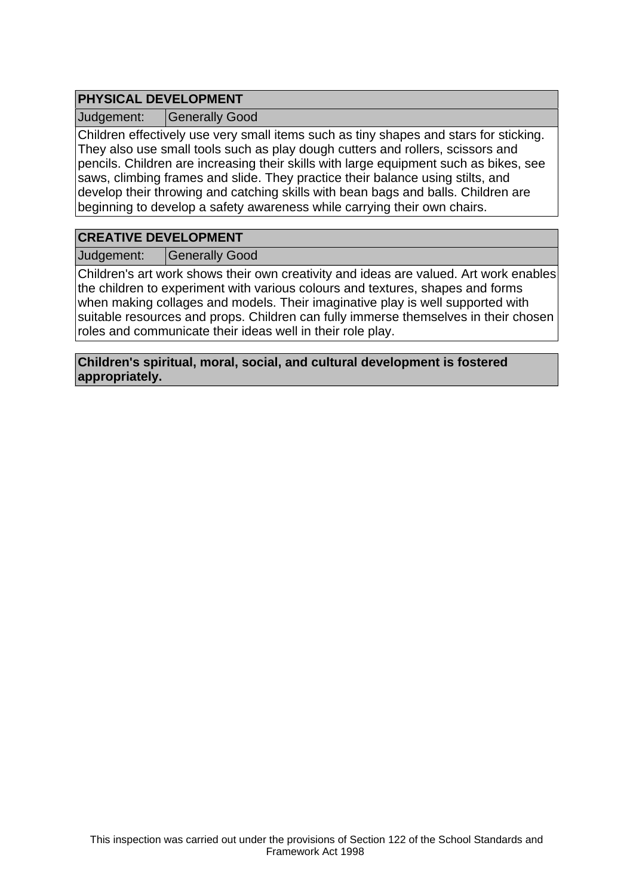## **PHYSICAL DEVELOPMENT**

Judgement: Generally Good

Children effectively use very small items such as tiny shapes and stars for sticking. They also use small tools such as play dough cutters and rollers, scissors and pencils. Children are increasing their skills with large equipment such as bikes, see saws, climbing frames and slide. They practice their balance using stilts, and develop their throwing and catching skills with bean bags and balls. Children are beginning to develop a safety awareness while carrying their own chairs.

# **CREATIVE DEVELOPMENT**

Judgement: Generally Good

Children's art work shows their own creativity and ideas are valued. Art work enables the children to experiment with various colours and textures, shapes and forms when making collages and models. Their imaginative play is well supported with suitable resources and props. Children can fully immerse themselves in their chosen roles and communicate their ideas well in their role play.

**Children's spiritual, moral, social, and cultural development is fostered appropriately.**